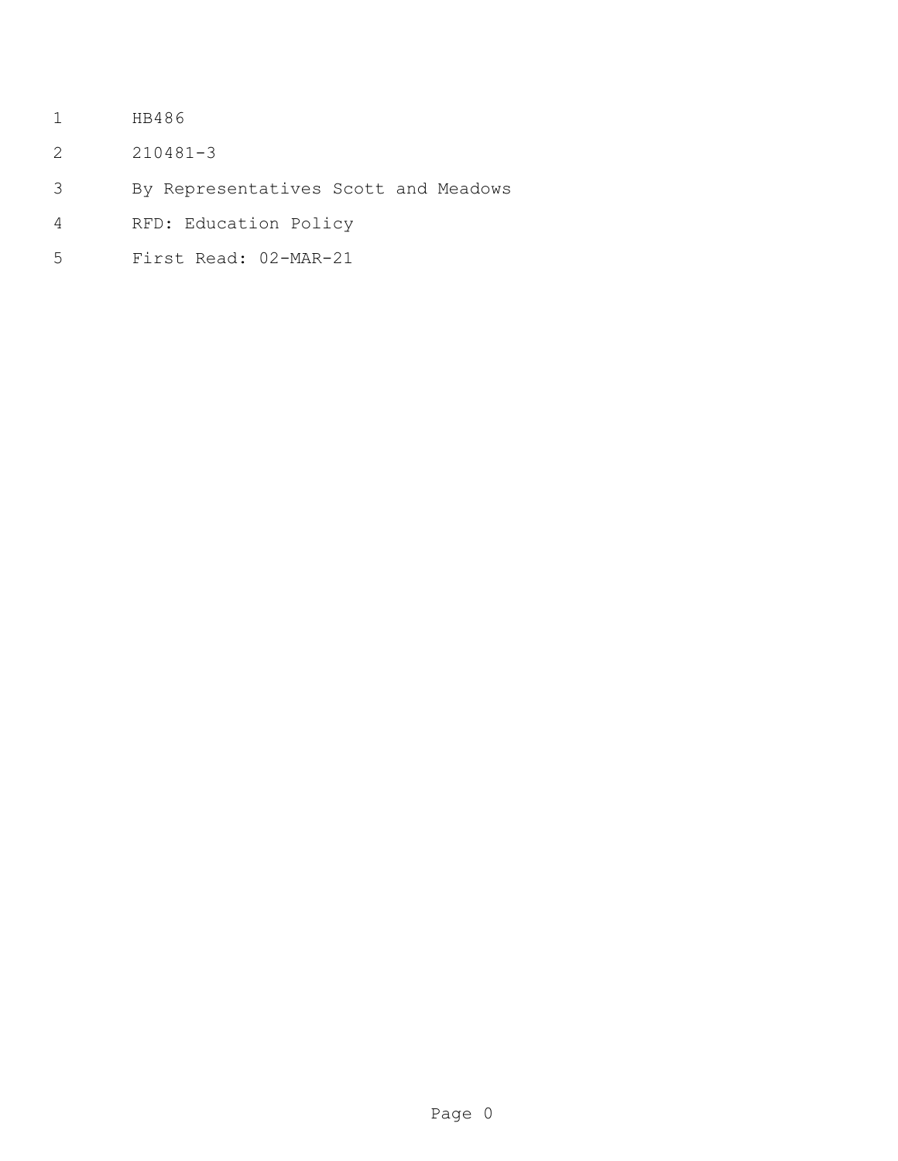- HB486
- 210481-3
- By Representatives Scott and Meadows
- RFD: Education Policy
- First Read: 02-MAR-21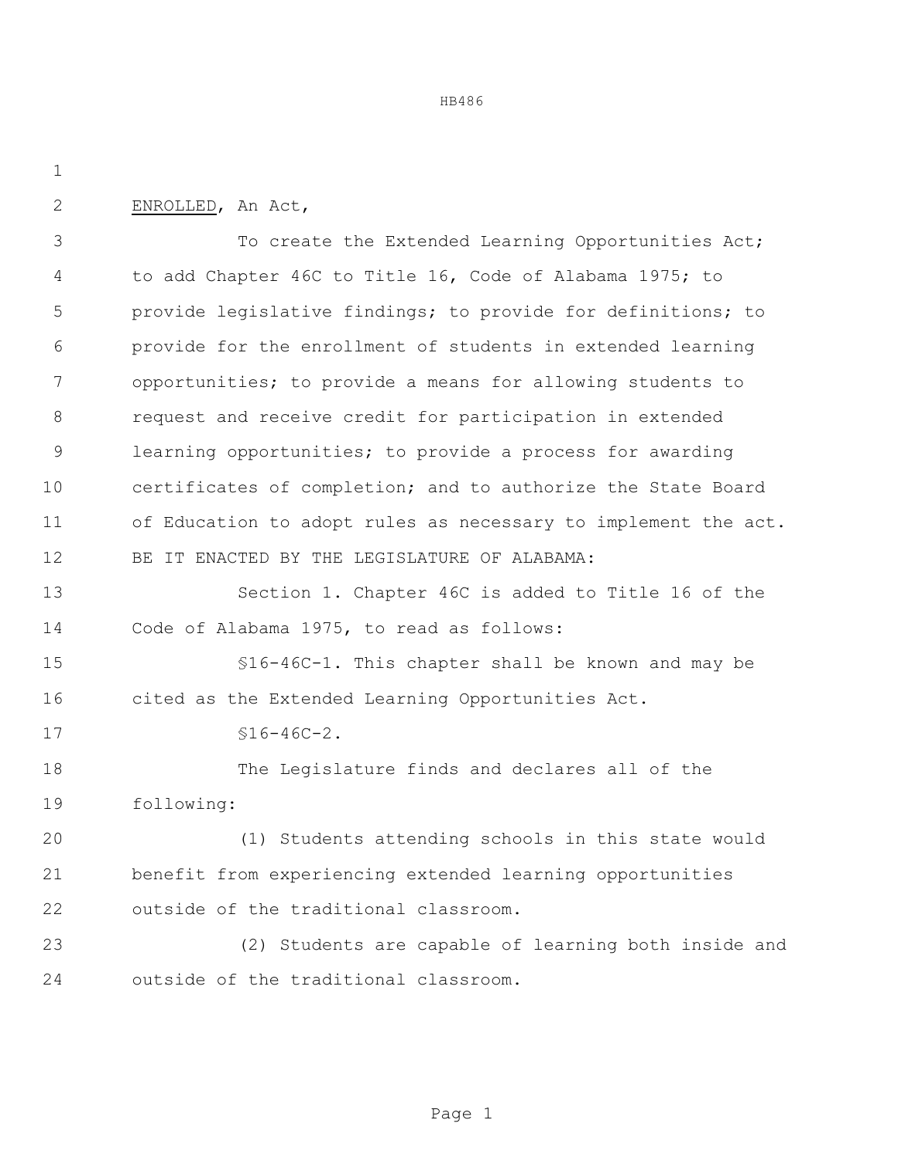HB486

ENROLLED, An Act,

3 To create the Extended Learning Opportunities Act; to add Chapter 46C to Title 16, Code of Alabama 1975; to provide legislative findings; to provide for definitions; to provide for the enrollment of students in extended learning opportunities; to provide a means for allowing students to request and receive credit for participation in extended learning opportunities; to provide a process for awarding certificates of completion; and to authorize the State Board of Education to adopt rules as necessary to implement the act. BE IT ENACTED BY THE LEGISLATURE OF ALABAMA:

 Section 1. Chapter 46C is added to Title 16 of the Code of Alabama 1975, to read as follows:

 §16-46C-1. This chapter shall be known and may be cited as the Extended Learning Opportunities Act.

17 §16-46C-2.

 The Legislature finds and declares all of the following:

 (1) Students attending schools in this state would benefit from experiencing extended learning opportunities outside of the traditional classroom.

 (2) Students are capable of learning both inside and outside of the traditional classroom.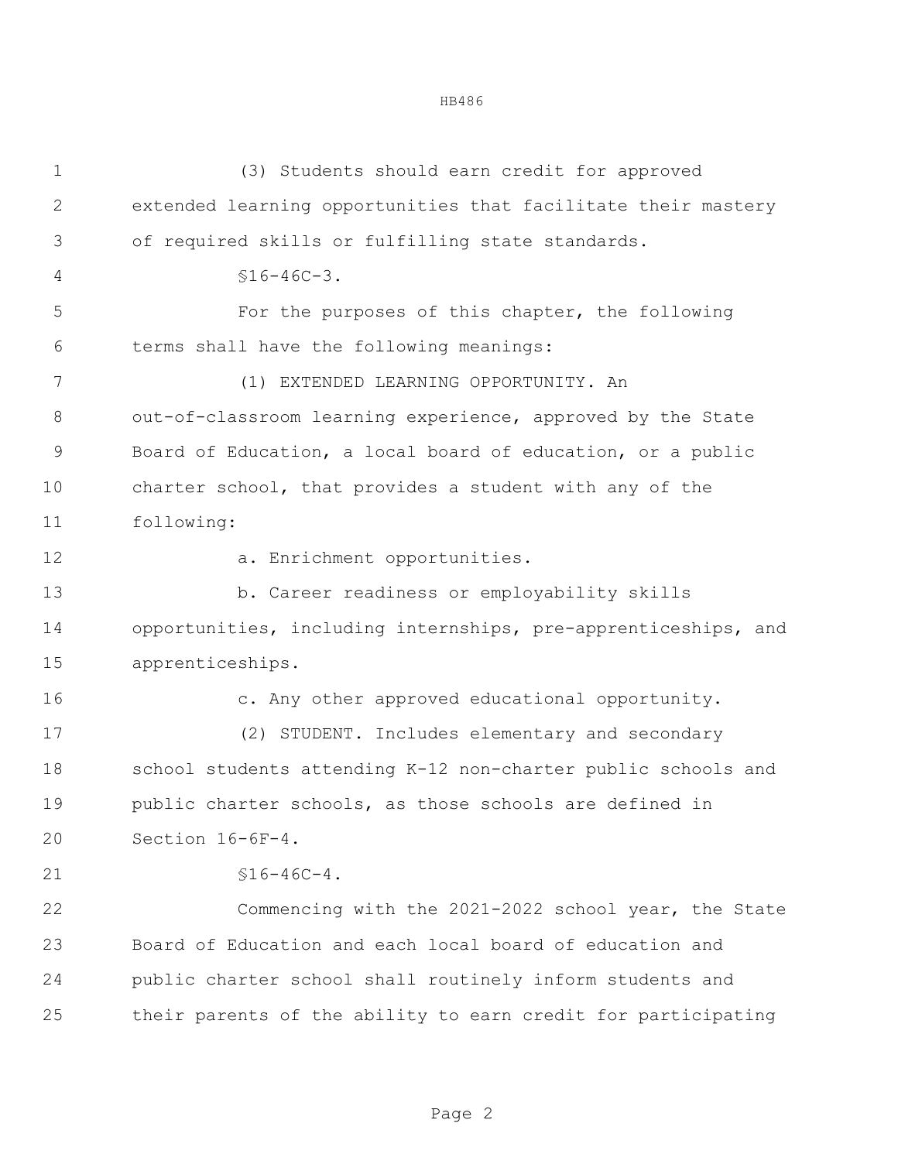(3) Students should earn credit for approved extended learning opportunities that facilitate their mastery of required skills or fulfilling state standards.  $$16-46C-3.$  For the purposes of this chapter, the following terms shall have the following meanings: (1) EXTENDED LEARNING OPPORTUNITY. An out-of-classroom learning experience, approved by the State Board of Education, a local board of education, or a public charter school, that provides a student with any of the following: 12 a. Enrichment opportunities. b. Career readiness or employability skills opportunities, including internships, pre-apprenticeships, and apprenticeships. c. Any other approved educational opportunity. (2) STUDENT. Includes elementary and secondary school students attending K-12 non-charter public schools and public charter schools, as those schools are defined in Section 16-6F-4.  $\$16-46C-4.$  Commencing with the 2021-2022 school year, the State Board of Education and each local board of education and public charter school shall routinely inform students and their parents of the ability to earn credit for participating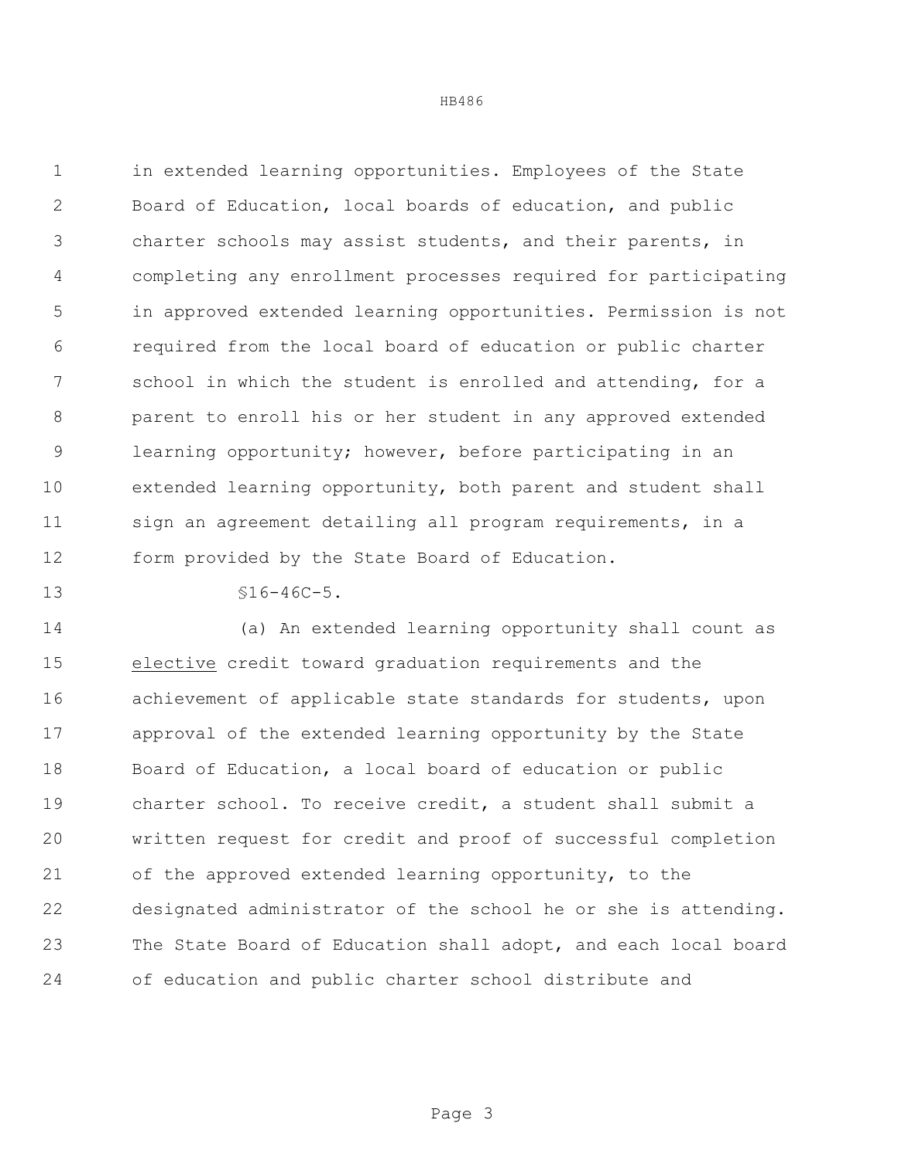HB486

 in extended learning opportunities. Employees of the State Board of Education, local boards of education, and public charter schools may assist students, and their parents, in completing any enrollment processes required for participating in approved extended learning opportunities. Permission is not required from the local board of education or public charter school in which the student is enrolled and attending, for a parent to enroll his or her student in any approved extended learning opportunity; however, before participating in an extended learning opportunity, both parent and student shall 11 sign an agreement detailing all program requirements, in a form provided by the State Board of Education.

 $\$16-46C-5$ .

 (a) An extended learning opportunity shall count as elective credit toward graduation requirements and the achievement of applicable state standards for students, upon approval of the extended learning opportunity by the State Board of Education, a local board of education or public charter school. To receive credit, a student shall submit a written request for credit and proof of successful completion of the approved extended learning opportunity, to the designated administrator of the school he or she is attending. The State Board of Education shall adopt, and each local board of education and public charter school distribute and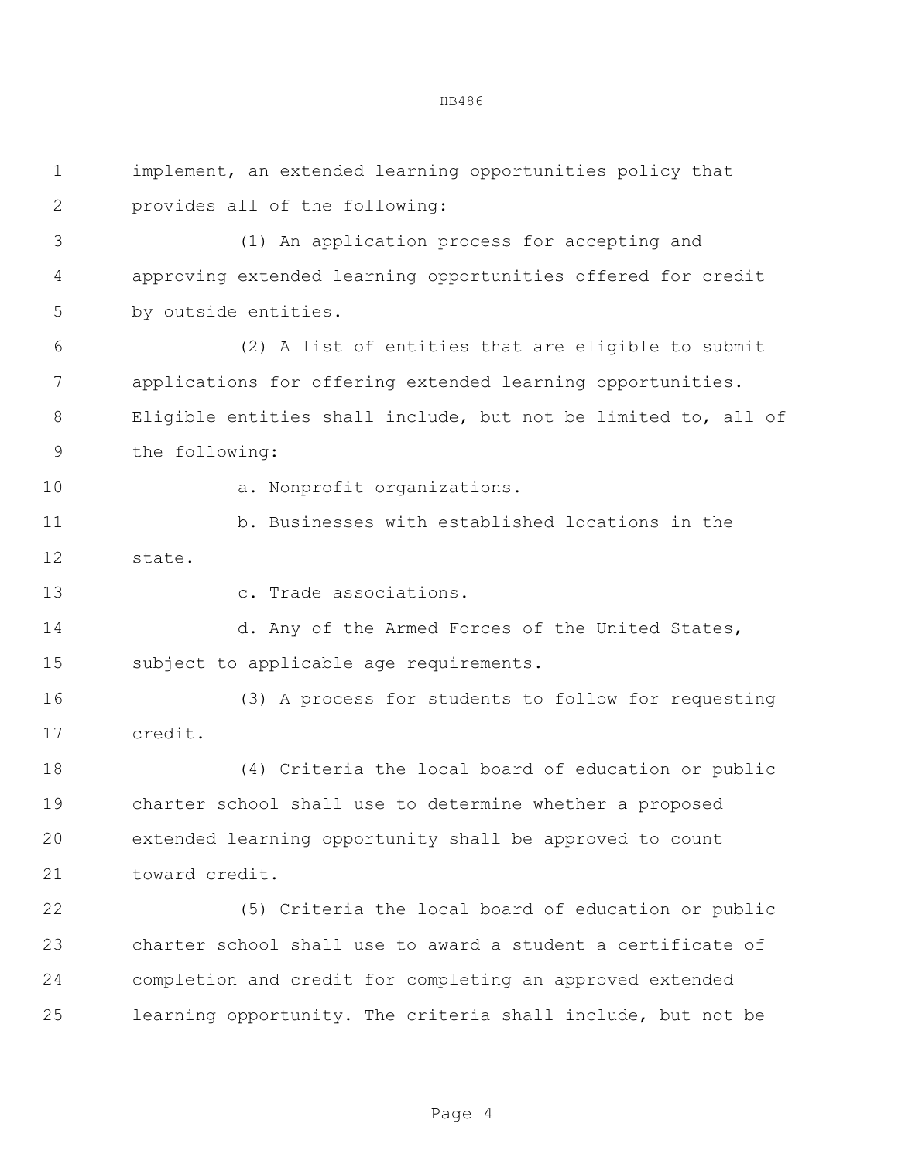implement, an extended learning opportunities policy that provides all of the following: (1) An application process for accepting and approving extended learning opportunities offered for credit by outside entities. (2) A list of entities that are eligible to submit applications for offering extended learning opportunities. Eligible entities shall include, but not be limited to, all of the following: 10 a. Nonprofit organizations. b. Businesses with established locations in the state. c. Trade associations. 14 d. Any of the Armed Forces of the United States, subject to applicable age requirements. (3) A process for students to follow for requesting credit. (4) Criteria the local board of education or public charter school shall use to determine whether a proposed extended learning opportunity shall be approved to count toward credit. (5) Criteria the local board of education or public charter school shall use to award a student a certificate of completion and credit for completing an approved extended learning opportunity. The criteria shall include, but not be

Page 4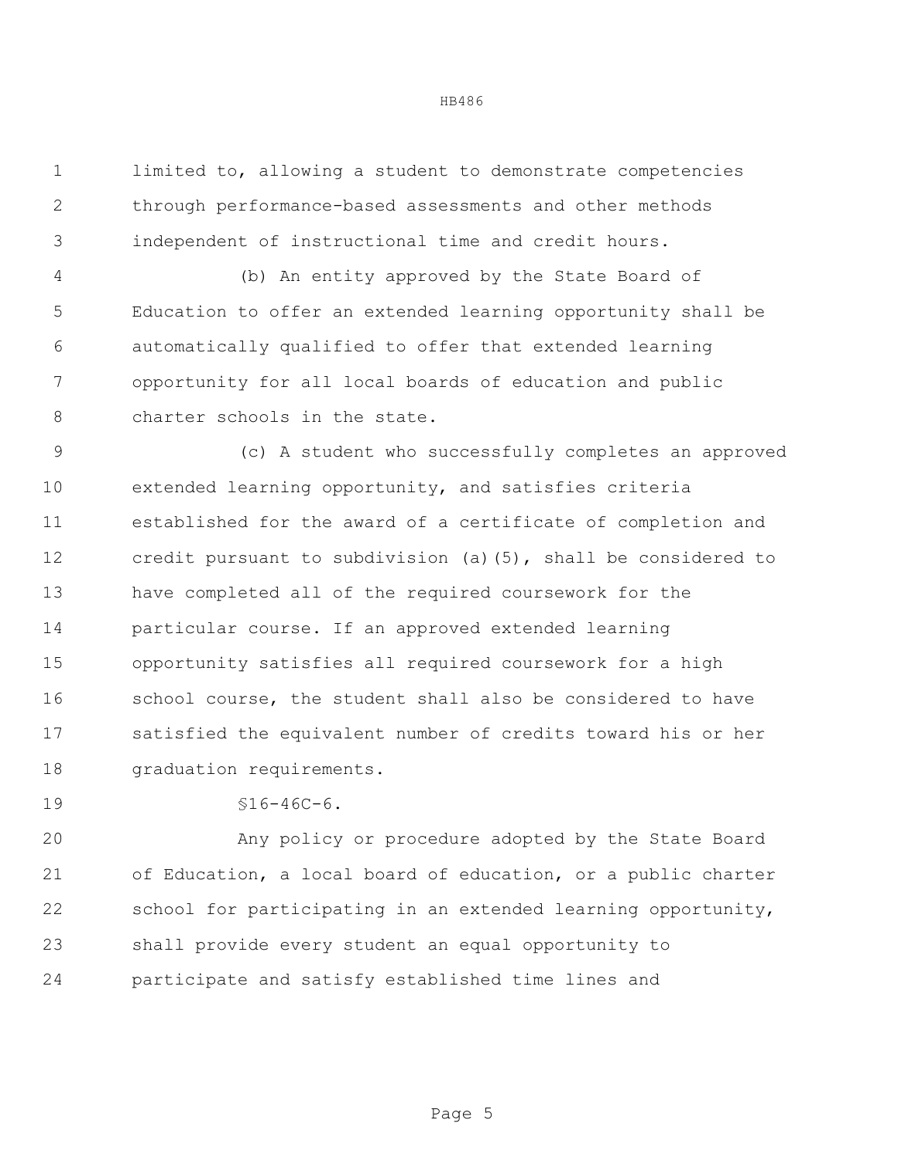limited to, allowing a student to demonstrate competencies through performance-based assessments and other methods independent of instructional time and credit hours.

 (b) An entity approved by the State Board of Education to offer an extended learning opportunity shall be automatically qualified to offer that extended learning opportunity for all local boards of education and public 8 charter schools in the state.

 (c) A student who successfully completes an approved extended learning opportunity, and satisfies criteria established for the award of a certificate of completion and credit pursuant to subdivision (a)(5), shall be considered to have completed all of the required coursework for the particular course. If an approved extended learning opportunity satisfies all required coursework for a high school course, the student shall also be considered to have satisfied the equivalent number of credits toward his or her graduation requirements.

§16-46C-6.

 Any policy or procedure adopted by the State Board of Education, a local board of education, or a public charter school for participating in an extended learning opportunity, shall provide every student an equal opportunity to participate and satisfy established time lines and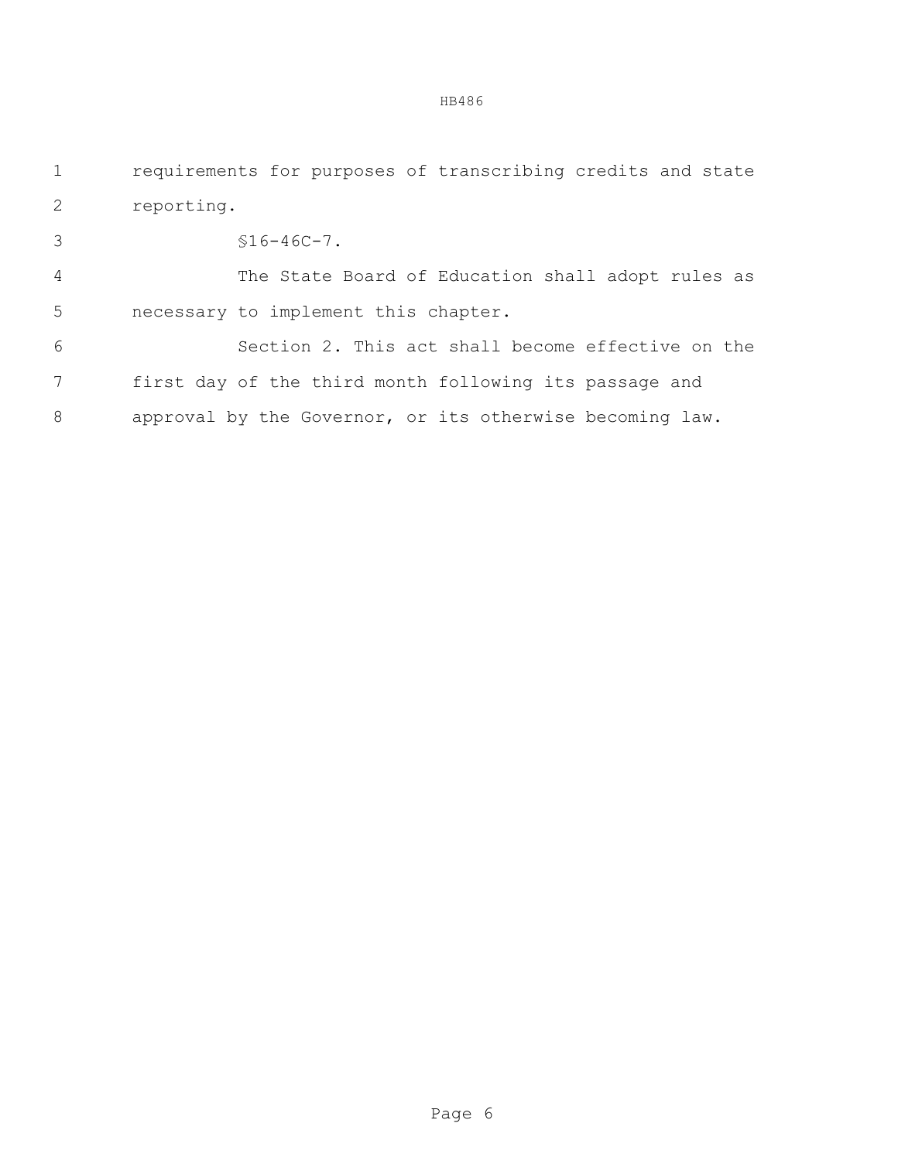requirements for purposes of transcribing credits and state reporting.

§16-46C-7.

 The State Board of Education shall adopt rules as necessary to implement this chapter.

 Section 2. This act shall become effective on the first day of the third month following its passage and approval by the Governor, or its otherwise becoming law.